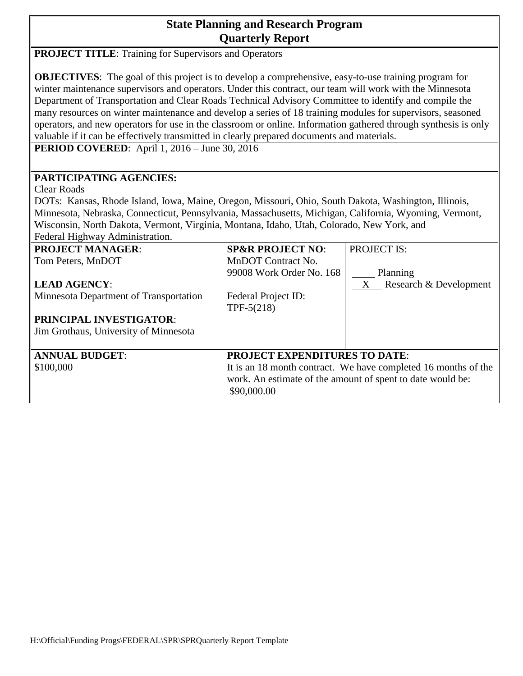## **State Planning and Research Program Quarterly Report**

| <b>PROJECT TITLE:</b> Training for Supervisors and Operators                                                                                                                                                                                                                                                                                                                                                                                                                                                                                                                                                                                                                                                            |                                                                                                                                                                                     |                          |  |  |  |  |  |  |
|-------------------------------------------------------------------------------------------------------------------------------------------------------------------------------------------------------------------------------------------------------------------------------------------------------------------------------------------------------------------------------------------------------------------------------------------------------------------------------------------------------------------------------------------------------------------------------------------------------------------------------------------------------------------------------------------------------------------------|-------------------------------------------------------------------------------------------------------------------------------------------------------------------------------------|--------------------------|--|--|--|--|--|--|
| <b>OBJECTIVES:</b> The goal of this project is to develop a comprehensive, easy-to-use training program for<br>winter maintenance supervisors and operators. Under this contract, our team will work with the Minnesota<br>Department of Transportation and Clear Roads Technical Advisory Committee to identify and compile the<br>many resources on winter maintenance and develop a series of 18 training modules for supervisors, seasoned<br>operators, and new operators for use in the classroom or online. Information gathered through synthesis is only<br>valuable if it can be effectively transmitted in clearly prepared documents and materials.<br><b>PERIOD COVERED:</b> April 1, 2016 – June 30, 2016 |                                                                                                                                                                                     |                          |  |  |  |  |  |  |
|                                                                                                                                                                                                                                                                                                                                                                                                                                                                                                                                                                                                                                                                                                                         |                                                                                                                                                                                     |                          |  |  |  |  |  |  |
| PARTICIPATING AGENCIES:<br><b>Clear Roads</b><br>DOTs: Kansas, Rhode Island, Iowa, Maine, Oregon, Missouri, Ohio, South Dakota, Washington, Illinois,<br>Minnesota, Nebraska, Connecticut, Pennsylvania, Massachusetts, Michigan, California, Wyoming, Vermont,<br>Wisconsin, North Dakota, Vermont, Virginia, Montana, Idaho, Utah, Colorado, New York, and<br>Federal Highway Administration.                                                                                                                                                                                                                                                                                                                         |                                                                                                                                                                                     |                          |  |  |  |  |  |  |
| <b>PROJECT MANAGER:</b>                                                                                                                                                                                                                                                                                                                                                                                                                                                                                                                                                                                                                                                                                                 | <b>SP&amp;R PROJECT NO:</b>                                                                                                                                                         | <b>PROJECT IS:</b>       |  |  |  |  |  |  |
| Tom Peters, MnDOT                                                                                                                                                                                                                                                                                                                                                                                                                                                                                                                                                                                                                                                                                                       | MnDOT Contract No.<br>99008 Work Order No. 168                                                                                                                                      | Planning                 |  |  |  |  |  |  |
| <b>LEAD AGENCY:</b>                                                                                                                                                                                                                                                                                                                                                                                                                                                                                                                                                                                                                                                                                                     |                                                                                                                                                                                     | X Research & Development |  |  |  |  |  |  |
| Minnesota Department of Transportation                                                                                                                                                                                                                                                                                                                                                                                                                                                                                                                                                                                                                                                                                  | Federal Project ID:<br>$TPF-5(218)$                                                                                                                                                 |                          |  |  |  |  |  |  |
| <b>PRINCIPAL INVESTIGATOR:</b>                                                                                                                                                                                                                                                                                                                                                                                                                                                                                                                                                                                                                                                                                          |                                                                                                                                                                                     |                          |  |  |  |  |  |  |
| Jim Grothaus, University of Minnesota                                                                                                                                                                                                                                                                                                                                                                                                                                                                                                                                                                                                                                                                                   |                                                                                                                                                                                     |                          |  |  |  |  |  |  |
| <b>ANNUAL BUDGET:</b><br>\$100,000                                                                                                                                                                                                                                                                                                                                                                                                                                                                                                                                                                                                                                                                                      | <b>PROJECT EXPENDITURES TO DATE:</b><br>It is an 18 month contract. We have completed 16 months of the<br>work. An estimate of the amount of spent to date would be:<br>\$90,000.00 |                          |  |  |  |  |  |  |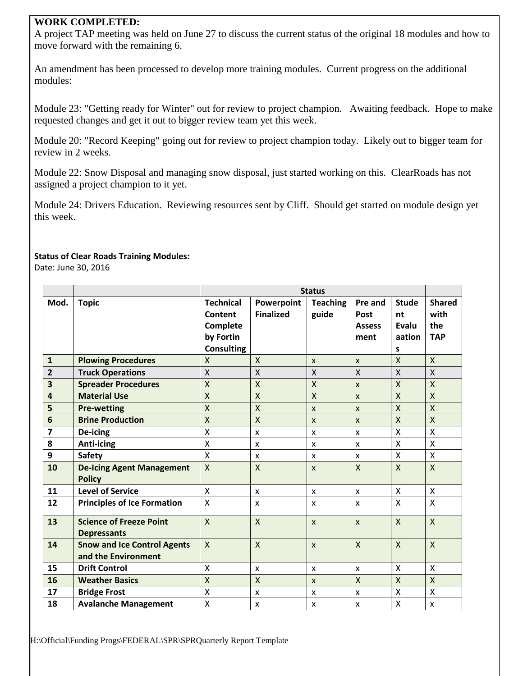## **WORK COMPLETED:**

A project TAP meeting was held on June 27 to discuss the current status of the original 18 modules and how to move forward with the remaining 6.

An amendment has been processed to develop more training modules. Current progress on the additional modules:

Module 23: "Getting ready for Winter" out for review to project champion. Awaiting feedback. Hope to make requested changes and get it out to bigger review team yet this week.

Module 20: "Record Keeping" going out for review to project champion today. Likely out to bigger team for review in 2 weeks.

Module 22: Snow Disposal and managing snow disposal, just started working on this. ClearRoads has not assigned a project champion to it yet.

Module 24: Drivers Education. Reviewing resources sent by Cliff. Should get started on module design yet this week.

## **Status of Clear Roads Training Modules:**

Date: June 30, 2016

|                         |                                                           | <b>Status</b>                                                             |                                |                          |                                          |                                            |                                            |
|-------------------------|-----------------------------------------------------------|---------------------------------------------------------------------------|--------------------------------|--------------------------|------------------------------------------|--------------------------------------------|--------------------------------------------|
| Mod.                    | <b>Topic</b>                                              | <b>Technical</b><br>Content<br>Complete<br>by Fortin<br><b>Consulting</b> | Powerpoint<br><b>Finalized</b> | <b>Teaching</b><br>guide | Pre and<br>Post<br><b>Assess</b><br>ment | <b>Stude</b><br>nt<br>Evalu<br>aation<br>S | <b>Shared</b><br>with<br>the<br><b>TAP</b> |
| $\mathbf{1}$            | <b>Plowing Procedures</b>                                 | $\mathsf{X}$                                                              | $\mathsf{X}$                   | $\mathsf{x}$             | $\mathsf{x}$                             | X                                          | $\mathsf{X}$                               |
| $\overline{2}$          | <b>Truck Operations</b>                                   | $\mathsf{X}$                                                              | $\mathsf{X}$                   | $\pmb{\chi}$             | $\mathsf{X}$                             | $\mathsf{X}$                               | X                                          |
| $\overline{\mathbf{3}}$ | <b>Spreader Procedures</b>                                | $\mathsf{X}$                                                              | $\sf X$                        | $\sf X$                  | $\mathsf{x}$                             | $\overline{\mathsf{X}}$                    | $\overline{X}$                             |
| $\overline{a}$          | <b>Material Use</b>                                       | $\mathsf{X}$                                                              | $\mathsf{X}$                   | X                        | $\mathsf{x}$                             | X                                          | $\overline{\mathsf{X}}$                    |
| 5                       | <b>Pre-wetting</b>                                        | $\mathsf{X}$                                                              | X                              | $\mathsf{x}$             | $\mathsf{x}$                             | X                                          | X                                          |
| 6                       | <b>Brine Production</b>                                   | $\mathsf{X}$                                                              | $\mathsf{X}$                   | X                        | $\mathsf{x}$                             | $\overline{\mathsf{X}}$                    | $\overline{X}$                             |
| $\overline{7}$          | De-icing                                                  | $\pmb{\mathsf{X}}$                                                        | $\boldsymbol{\mathsf{x}}$      | X                        | $\mathsf{x}$                             | $\sf X$                                    | X                                          |
| 8                       | <b>Anti-icing</b>                                         | X                                                                         | X                              | X                        | $\mathsf{x}$                             | X                                          | X                                          |
| 9                       | <b>Safety</b>                                             | X                                                                         | X                              | X                        | X                                        | X                                          | X                                          |
| 10                      | <b>De-Icing Agent Management</b><br><b>Policy</b>         | $\mathsf{x}$                                                              | $\mathsf{X}$                   | $\mathsf{x}$             | $\mathsf{X}$                             | $\mathsf{x}$                               | $\mathsf{X}$                               |
| 11                      | <b>Level of Service</b>                                   | $\mathsf{x}$                                                              | X                              | X                        | $\mathsf{x}$                             | X                                          | X                                          |
| 12                      | <b>Principles of Ice Formation</b>                        | $\boldsymbol{\mathsf{X}}$                                                 | X                              | X                        | X                                        | $\mathsf{x}$                               | $\mathsf{x}$                               |
| 13                      | <b>Science of Freeze Point</b><br><b>Depressants</b>      | $\mathsf{x}$                                                              | X                              | $\mathsf{x}$             | $\mathsf{x}$                             | $\mathsf{X}$                               | $\mathsf{X}$                               |
| 14                      | <b>Snow and Ice Control Agents</b><br>and the Environment | $\mathsf{X}$                                                              | $\mathsf{x}$                   | $\mathsf{x}$             | $\mathsf{x}$                             | $\mathsf{x}$                               | $\mathsf{X}$                               |
| 15                      | <b>Drift Control</b>                                      | X                                                                         | X                              | X                        | X                                        | $\sf X$                                    | X                                          |
| 16                      | <b>Weather Basics</b>                                     | $\mathsf{X}$                                                              | $\sf X$                        | $\mathsf{x}$             | $\mathsf{x}$                             | $\overline{X}$                             | $\mathsf{X}$                               |
| 17                      | <b>Bridge Frost</b>                                       | X                                                                         | X                              | X                        | X                                        | X                                          | X                                          |
| 18                      | <b>Avalanche Management</b>                               | X                                                                         | X                              | X                        | X                                        | X                                          | X                                          |